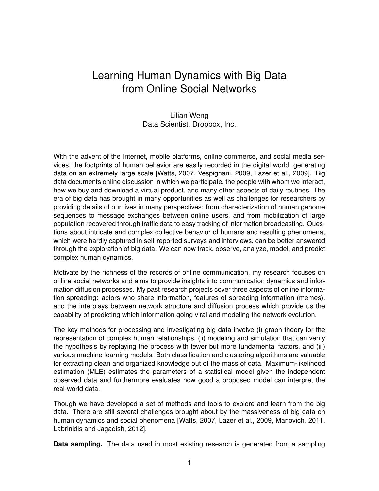## Learning Human Dynamics with Big Data from Online Social Networks

## Lilian Weng Data Scientist, Dropbox, Inc.

With the advent of the Internet, mobile platforms, online commerce, and social media services, the footprints of human behavior are easily recorded in the digital world, generating data on an extremely large scale [Watts, 2007, Vespignani, 2009, Lazer et al., 2009]. Big data documents online discussion in which we participate, the people with whom we interact, how we buy and download a virtual product, and many other aspects of daily routines. The era of big data has brought in many opportunities as well as challenges for researchers by providing details of our lives in many perspectives: from characterization of human genome sequences to message exchanges between online users, and from mobilization of large population recovered through traffic data to easy tracking of information broadcasting. Questions about intricate and complex collective behavior of humans and resulting phenomena, which were hardly captured in self-reported surveys and interviews, can be better answered through the exploration of big data. We can now track, observe, analyze, model, and predict complex human dynamics.

Motivate by the richness of the records of online communication, my research focuses on online social networks and aims to provide insights into communication dynamics and information diffusion processes. My past research projects cover three aspects of online information spreading: actors who share information, features of spreading information (memes), and the interplays between network structure and diffusion process which provide us the capability of predicting which information going viral and modeling the network evolution.

The key methods for processing and investigating big data involve (i) graph theory for the representation of complex human relationships, (ii) modeling and simulation that can verify the hypothesis by replaying the process with fewer but more fundamental factors, and (iii) various machine learning models. Both classification and clustering algorithms are valuable for extracting clean and organized knowledge out of the mass of data. Maximum-likelihood estimation (MLE) estimates the parameters of a statistical model given the independent observed data and furthermore evaluates how good a proposed model can interpret the real-world data.

Though we have developed a set of methods and tools to explore and learn from the big data. There are still several challenges brought about by the massiveness of big data on human dynamics and social phenomena [Watts, 2007, Lazer et al., 2009, Manovich, 2011, Labrinidis and Jagadish, 2012].

**Data sampling.** The data used in most existing research is generated from a sampling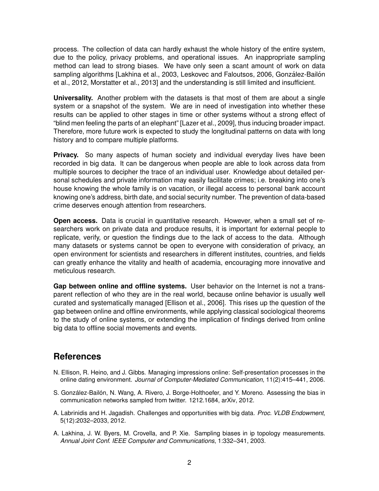process. The collection of data can hardly exhaust the whole history of the entire system, due to the policy, privacy problems, and operational issues. An inappropriate sampling method can lead to strong biases. We have only seen a scant amount of work on data sampling algorithms [Lakhina et al., 2003, Leskovec and Faloutsos, 2006, González-Bailón et al., 2012, Morstatter et al., 2013] and the understanding is still limited and insufficient.

**Universality.** Another problem with the datasets is that most of them are about a single system or a snapshot of the system. We are in need of investigation into whether these results can be applied to other stages in time or other systems without a strong effect of "blind men feeling the parts of an elephant" [Lazer et al., 2009], thus inducing broader impact. Therefore, more future work is expected to study the longitudinal patterns on data with long history and to compare multiple platforms.

**Privacy.** So many aspects of human society and individual everyday lives have been recorded in big data. It can be dangerous when people are able to look across data from multiple sources to decipher the trace of an individual user. Knowledge about detailed personal schedules and private information may easily facilitate crimes; i.e. breaking into one's house knowing the whole family is on vacation, or illegal access to personal bank account knowing one's address, birth date, and social security number. The prevention of data-based crime deserves enough attention from researchers.

**Open access.** Data is crucial in quantitative research. However, when a small set of researchers work on private data and produce results, it is important for external people to replicate, verify, or question the findings due to the lack of access to the data. Although many datasets or systems cannot be open to everyone with consideration of privacy, an open environment for scientists and researchers in different institutes, countries, and fields can greatly enhance the vitality and health of academia, encouraging more innovative and meticulous research.

**Gap between online and offline systems.** User behavior on the Internet is not a transparent reflection of who they are in the real world, because online behavior is usually well curated and systematically managed [Ellison et al., 2006]. This rises up the question of the gap between online and offline environments, while applying classical sociological theorems to the study of online systems, or extending the implication of findings derived from online big data to offline social movements and events.

## **References**

- N. Ellison, R. Heino, and J. Gibbs. Managing impressions online: Self-presentation processes in the online dating environment. *Journal of Computer-Mediated Communication*, 11(2):415–441, 2006.
- S. González-Bailón, N. Wang, A. Rivero, J. Borge-Holthoefer, and Y. Moreno. Assessing the bias in communication networks sampled from twitter. 1212.1684, arXiv, 2012.
- A. Labrinidis and H. Jagadish. Challenges and opportunities with big data. *Proc. VLDB Endowment*, 5(12):2032–2033, 2012.
- A. Lakhina, J. W. Byers, M. Crovella, and P. Xie. Sampling biases in ip topology measurements. *Annual Joint Conf. IEEE Computer and Communications*, 1:332–341, 2003.